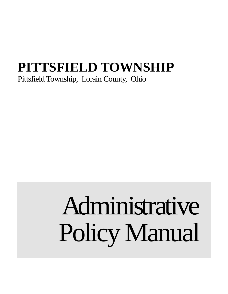## **PITTSFIELD TOWNSHIP**

Pittsfield Township, Lorain County, Ohio

## Administrative Policy Manual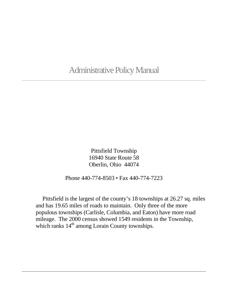## Administrative Policy Manual

Pittsfield Township 16940 State Route 58 Oberlin, Ohio 44074

Phone 440-774-8503 • Fax 440-774-7223

Pittsfield is the largest of the county's 18 townships at 26.27 sq. miles and has 19.65 miles of roads to maintain. Only three of the more populous townships (Carlisle, Columbia, and Eaton) have more road mileage. The 2000 census showed 1549 residents in the Township, which ranks 14<sup>th</sup> among Lorain County townships.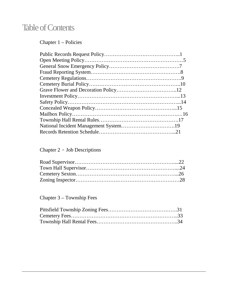## **Table of Contents**

Chapter 1 – Policies

### Chapter 2 – Job Descriptions

Chapter 3 – Township Fees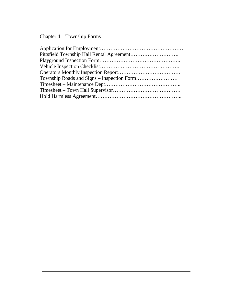Chapter 4 – Township Forms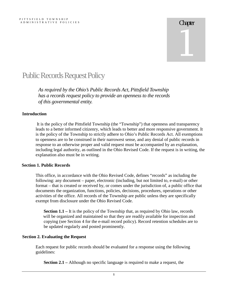## Public Records Request Policy

*As required by the Ohio's Public Records Act, Pittsfield Township has a records request policy to provide an openness to the records of this governmental entity.*

### **Introduction**

It is the policy of the Pittsfield Township (the "Township") that openness and transparency leads to a better informed citizenry, which leads to better and more responsive government. It is the policy of the Township to strictly adhere to Ohio's Public Records Act. All exemptions to openness are to be construed in their narrowest sense, and any denial of public records in response to an otherwise proper and valid request must be accompanied by an explanation, including legal authority, as outlined in the Ohio Revised Code. If the request is in writing, the explanation also must be in writing.

### **Section 1. Public Records**

This office, in accordance with the Ohio Revised Code, defines "records" as including the following: any document – paper, electronic (including, but not limited to, e-mail) or other format – that is created or received by, or comes under the jurisdiction of, a public office that documents the organization, functions, policies, decisions, procedures, operations or other activities of the office. All records of the Township are public unless they are specifically exempt from disclosure under the Ohio Revised Code.

**Section 1.1** – It is the policy of the Township that, as required by Ohio law, records will be organized and maintained so that they are readily available for inspection and copying (see Section 4 for the e-mail record policy). Record retention schedules are to be updated regularly and posted prominently.

### **Section 2. Evaluating the Request**

Each request for public records should be evaluated for a response using the following guidelines:

**Section 2.1 –** Although no specific language is required to make a request, the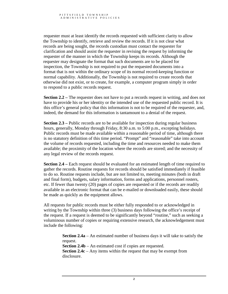requester must at least identify the records requested with sufficient clarity to allow the Township to identify, retrieve and review the records. If it is not clear what records are being sought, the records custodian must contact the requester for clarification and should assist the requester in revising the request by informing the requester of the manner in which the Township keeps its records. Although the requester may designate the format that such documents are to be placed for inspection, the Township is not required to put the requested documents into a format that is not within the ordinary scope of its normal record-keeping function or normal capability. Additionally, the Township is not required to create records that otherwise did not exist, or to create, for example, a computer program simply in order to respond to a public records request.

**Section 2.2** – The requester does not have to put a records request in writing, and does not have to provide his or her identity or the intended use of the requested public record. It is this office's general policy that this information is not to be required of the requester, and, indeed, the demand for this information is tantamount to a denial of the request.

**Section 2.3** – Public records are to be available for inspection during regular business hours, generally, Monday through Friday, 8:30 a.m. to 5:00 p.m., excepting holidays. Public records must be made available within a reasonable period of time, although there is no statutory definition of this time period. "Prompt" and "reasonable" take into account the volume of records requested, including the time and resources needed to make them available; the proximity of the location where the records are stored; and the necessity of any legal review of the records request.

**Section 2.4 –** Each request should be evaluated for an estimated length of time required to gather the records. Routine requests for records should be satisfied immediately if feasible to do so. Routine requests include, but are not limited to, meeting minutes (both in draft and final form), budgets, salary information, forms and applications, personnel rosters, etc. If fewer than twenty (20) pages of copies are requested or if the records are readily available in an electronic format that can be e-mailed or downloaded easily, these should be made as quickly as the equipment allows.

All requests for public records must be either fully responded to or acknowledged in writing by the Township within three (3) business days following the office's receipt of the request. If a request is deemed to be significantly beyond "routine," such as seeking a voluminous number of copies or requiring extensive research, the acknowledgement must include the following:

> **Section 2.4a** – An estimated number of business days it will take to satisfy the request. **Section 2.4b** – An estimated cost if copies are requested. **Section 2.4c** – Any items within the request that may be exempt from disclosure.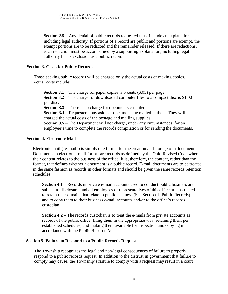**Section 2.5 –** Any denial of public records requested must include an explanation, including legal authority. If portions of a record are public and portions are exempt, the exempt portions are to be redacted and the remainder released. If there are redactions, each redaction must be accompanied by a supporting explanation, including legal authority for its exclusion as a public record.

#### **Section 3. Costs for Public Records**

Those seeking public records will be charged only the actual costs of making copies. Actual costs include:

**Section 3.1** – The charge for paper copies is 5 cents (\$.05) per page. **Section 3.2** – The charge for downloaded computer files to a compact disc is \$1.00 per disc. **Section 3.3** – There is no charge for documents e-mailed. **Section 3.4** – Requesters may ask that documents be mailed to them. They will be charged the actual costs of the postage and mailing supplies. **Section 3.5** – The Department will not charge, under any circumstances, for an employee's time to complete the records compilation or for sending the documents.

#### **Section 4. Electronic Mail**

Electronic mail ("e-mail") is simply one format for the creation and storage of a document. Documents in electronic-mail format are records as defined by the Ohio Revised Code when their content relates to the business of the office. It is, therefore, the content, rather than the format, that defines whether a document is a public record. E-mail documents are to be treated in the same fashion as records in other formats and should be given the same records retention schedules.

**Section 4.1** – Records in private e-mail accounts used to conduct public business are subject to disclosure, and all employees or representatives of this office are instructed to retain their e-mails that relate to public business (See Section 1, Public Records) and to copy them to their business e-mail accounts and/or to the office's records custodian.

**Section 4.2** – The records custodian is to treat the e-mails from private accounts as records of the public office, filing them in the appropriate way, retaining them per established schedules, and making them available for inspection and copying in accordance with the Public Records Act.

#### **Section 5. Failure to Respond to a Public Records Request**

The Township recognizes the legal and non-legal consequences of failure to properly respond to a public records request. In addition to the distrust in government that failure to comply may cause, the Township's failure to comply with a request may result in a court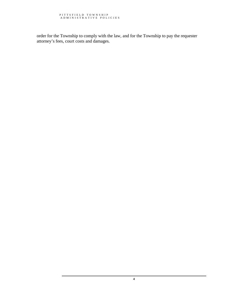order for the Township to comply with the law, and for the Township to pay the requester attorney's fees, court costs and damages.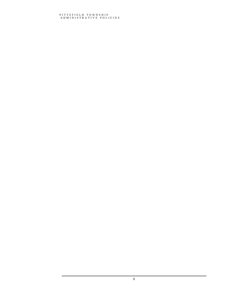#### P I T T S F I E L D T O W N S H I P A D M I N I S T R A T I V E P O L I C I E S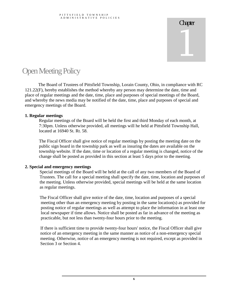## **Open Meeting Policy**

The Board of Trustees of Pittsfield Township, Lorain County, Ohio, in compliance with RC 121.22(F), hereby establishes the method whereby any person may determine the date, time and place of regular meetings and the date, time, place and purposes of special meetings of the Board, and whereby the news media may be notified of the date, time, place and purposes of special and emergency meetings of the Board.

#### **1. Regular meetings**

Regular meetings of the Board will be held the first and third Monday of each month, at 7:30pm. Unless otherwise provided, all meetings will he held at Pittsfield Township Hall, located at 16940 St. Rt. 58.

The Fiscal Officer shall give notice of regular meetings by posting the meeting date on the public sign board in the township park as well as insuring the dates are available on the township website. If the date, time or location of a regular meeting is changed, notice of the change shall be posted as provided in this section at least 5 days prior to the meeting.

#### **2. Special and emergency meetings**

Special meetings of the Board will be held at the call of any two members of the Board of Trustees. The call for a special meeting shall specify the date, time, location and purposes of the meeting. Unless otherwise provided, special meetings will be held at the same location as regular meetings.

The Fiscal Officer shall give notice of the date, time, location and purposes of a special meeting other than an emergency meeting by posting in the same location(s) as provided for posting notice of regular meetings as well as attempt to place the information in at least one local newspaper if time allows. Notice shall be posted as far in advance of the meeting as practicable, but not less than twenty-four hours prior to the meeting.

If there is sufficient time to provide twenty-four hours' notice, the Fiscal Officer shall give notice of an emergency meeting in the same manner as notice of a non-emergency special meeting. Otherwise, notice of an emergency meeting is not required, except as provided in Section 3 or Section 4.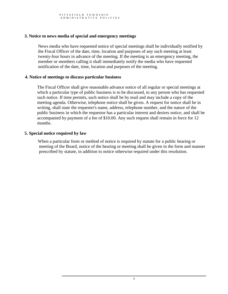#### **3. Notice to news media of special and emergency meetings**

News media who have requested notice of special meetings shall be individually notified by the Fiscal Officer of the date, time, location and purposes of any such meeting at least twenty-four hours in advance of the meeting. If the meeting is an emergency meeting, the member or members calling it shall immediately notify the media who have requested notification of the date, time, location and purposes of the meeting.

#### **4. Notice of meetings to discuss particular business**

The Fiscal Officer shall give reasonable advance notice of all regular or special meetings at which a particular type of public business is to be discussed, to any person who has requested such notice. If time permits, such notice shall be by mail and may include a copy of the meeting agenda. Otherwise, telephone notice shall be given. A request for notice shall be in writing, shall state the requester's name, address, telephone number, and the nature of the public business in which the requestor has a particular interest and desires notice, and shall be accompanied by payment of a fee of \$10.00. Any such request shall remain in force for 12 months.

#### **5. Special notice required by law**

When a particular form or method of notice is required by statute for a public hearing or meeting of the Board, notice of the hearing or meeting shall be given in the form and manner prescribed by statute, in addition to notice otherwise required under this resolution.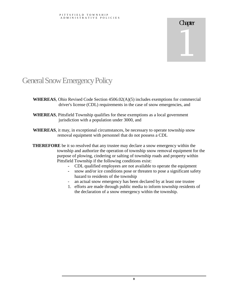## General Snow Emergency Policy

- **WHEREAS**, Ohio Revised Code Section 4506.02(A)(5) includes exemptions for commercial driver's license (CDL) requirements in the case of snow emergencies, and
- **WHEREAS**, Pittsfield Township qualifies for these exemptions as a local government jurisdiction with a population under 3000, and
- **WHEREAS**, it may, in exceptional circumstances, be necessary to operate township snow removal equipment with personnel that do not possess a CDL
- **THEREFORE** be it so resolved that any trustee may declare a snow emergency within the township and authorize the operation of township snow removal equipment for the purpose of plowing, cindering or salting of township roads and property within Pittsfield Township if the following conditions exist:
	- **-** CDL qualified employees are not available to operate the equipment
	- **-** snow and/or ice conditions pose or threaten to pose a significant safety hazard to residents of the township
	- an actual snow emergency has been declared by at least one trustee
	- 1. efforts are made through public media to inform township residents of the declaration of a snow emergency within the township.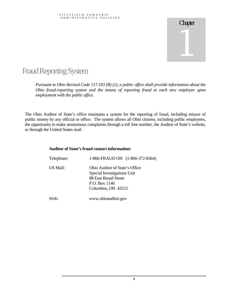## Fraud Reporting System

*Pursuant to Ohio Revised Code 117.103 (B) (1), a public office shall provide information about the Ohio fraud-reporting system and the means of reporting fraud to each new employee upon employment with the public office.*

The Ohio Auditor of State's office maintains a system for the reporting of fraud, including misuse of public money by any official or office. The system allows all Ohio citizens, including public employees, the opportunity to make anonymous complaints through a toll free number, the Auditor of State's website, or through the United States mail.

#### **Auditor of State's fraud contact information:**

| Telephone: | 1-866-FRAUD OH (1-866-372-8364)                                                                                              |
|------------|------------------------------------------------------------------------------------------------------------------------------|
| US Mail:   | Ohio Auditor of State's Office<br>Special Investigations Unit<br>88 East Broad Street<br>P.O. Box 1140<br>Columbus, OH 43215 |
| Web:       | www.ohioauditor.gov                                                                                                          |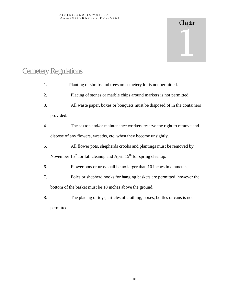## **Cemetery Regulations**

- 1. Planting of shrubs and trees on cemetery lot is not permitted.
- 2. Placing of stones or marble chips around markers is not permitted.
- 3. All waste paper, boxes or bouquets must be disposed of in the containers provided.
- 4. The sexton and/or maintenance workers reserve the right to remove and dispose of any flowers, wreaths, etc. when they become unsightly.
- 5. All flower pots, shepherds crooks and plantings must be removed by November  $15<sup>th</sup>$  for fall cleanup and April  $15<sup>th</sup>$  for spring cleanup.
- 6. Flower pots or urns shall be no larger than 10 inches in diameter.
- 7. Poles or shepherd hooks for hanging baskets are permitted, however the bottom of the basket must be 18 inches above the ground.
- 8. The placing of toys, articles of clothing, boxes, bottles or cans is not permitted.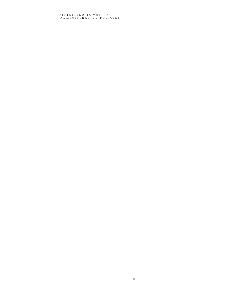#### P I T T S F I E L D T O W N S H I P A D M I N I S T R A T I V E P O L I C I E S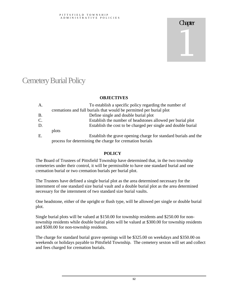## **Cemetery Burial Policy**

#### **OBJECTIVES**

| A.              | To establish a specific policy regarding the number of              |
|-----------------|---------------------------------------------------------------------|
|                 | cremations and full burials that would be permitted per burial plot |
| <b>B.</b>       | Define single and double burial plot                                |
| $\mathcal{C}$ . | Establish the number of headstones allowed per burial plot          |
| D.              | Establish the cost to be charged per single and double burial       |
|                 | plots                                                               |
| E.              | Establish the grave opening charge for standard burials and the     |
|                 | process for determining the charge for cremation burials            |

#### **POLICY**

The Board of Trustees of Pittsfield Township have determined that, in the two township cemeteries under their control, it will be permissible to have one standard burial and one cremation burial or two cremation burials per burial plot.

The Trustees have defined a single burial plot as the area determined necessary for the internment of one standard size burial vault and a double burial plot as the area determined necessary for the internment of two standard size burial vaults.

One headstone, either of the upright or flush type, will be allowed per single or double burial plot.

Single burial plots will be valued at \$150.00 for township residents and \$250.00 for nontownship residents while double burial plots will be valued at \$300.00 for township residents and \$500.00 for non-township residents.

The charge for standard burial grave openings will be \$325.00 on weekdays and \$350.00 on weekends or holidays payable to Pittsfield Township. The cemetery sexton will set and collect and fees charged for cremation burials.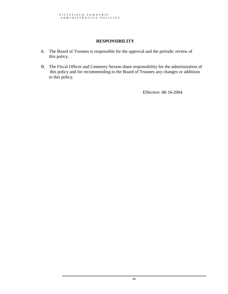### **RESPONSIBILITY**

- A. The Board of Trustees is responsible for the approval and the periodic review of this policy.
- B. The Fiscal Officer and Cemetery Sexton share responsibility for the administration of this policy and for recommending to the Board of Trustees any changes or additions to this policy.

Effective: 08-16-2004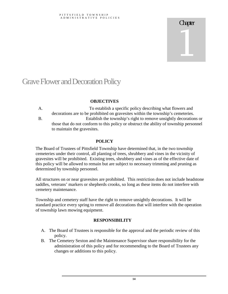## Grave Flower and Decoration Policy

#### **OBJECTIVES**

A. To establish a specific policy describing what flowers and decorations are to be prohibited on gravesites within the township's cemeteries. B. Establish the township's right to remove unsightly decorations or those that do not conform to this policy or obstruct the ability of township personnel to maintain the gravesites.

#### **POLICY**

The Board of Trustees of Pittsfield Township have determined that, in the two township cemeteries under their control, all planting of trees, shrubbery and vines in the vicinity of gravesites will be prohibited. Existing trees, shrubbery and vines as of the effective date of this policy will be allowed to remain but are subject to necessary trimming and pruning as determined by township personnel.

All structures on or near gravesites are prohibited. This restriction does not include headstone saddles, veterans' markers or shepherds crooks, so long as these items do not interfere with cemetery maintenance.

Township and cemetery staff have the right to remove unsightly decorations. It will be standard practice every spring to remove all decorations that will interfere with the operation of township lawn mowing equipment.

### **RESPONSIBILITY**

- A. The Board of Trustees is responsible for the approval and the periodic review of this policy.
- B. The Cemetery Sexton and the Maintenance Supervisor share responsibility for the administration of this policy and for recommending to the Board of Trustees any changes or additions to this policy.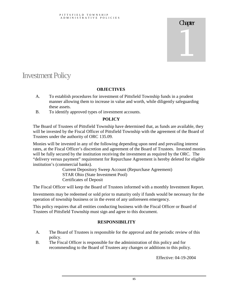## **Investment Policy**

### **OBJECTIVES**

- A. To establish procedures for investment of Pittsfield Township funds in a prudent manner allowing them to increase in value and worth, while diligently safeguarding these assets.
- B. To identify approved types of investment accounts.

#### **POLICY**

The Board of Trustees of Pittsfield Township have determined that, as funds are available, they will be invested by the Fiscal Officer of Pittsfield Township with the agreement of the Board of Trustees under the authority of ORC 135.09.

Monies will be invested in any of the following depending upon need and prevailing interest rates, at the Fiscal Officer's discretion and agreement of the Board of Trustees. Invested monies will be fully secured by the institution receiving the investment as required by the ORC. The "delivery versus payment" requirement for Repurchase Agreement is hereby deleted for eligible institution's (commercial banks).

Current Depository Sweep Account (Repurchase Agreement) STAR Ohio (State Investment Pool) Certificates of Deposit

The Fiscal Officer will keep the Board of Trustees informed with a monthly Investment Report.

Investments may be redeemed or sold prior to maturity only if funds would be necessary for the operation of township business or in the event of any unforeseen emergency.

This policy requires that all entities conducting business with the Fiscal Officer or Board of Trustees of Pittsfield Township must sign and agree to this document.

### **RESPONSIBILITY**

- A. The Board of Trustees is responsible for the approval and the periodic review of this policy.
- B. The Fiscal Officer is responsible for the administration of this policy and for recommending to the Board of Trustees any changes or additions to this policy.

Effective: 04-19-2004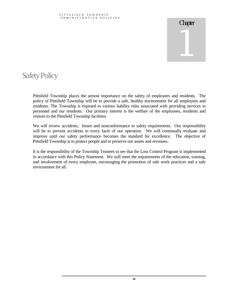## **Safety Policy**

Pittsfield Township places the utmost importance on the safety of employees and residents. The policy of Pittsfield Township will be to provide a safe, healthy environment for all employees and residents. The Township is exposed to various liability risks associated with providing services to personnel and our residents. Our primary interest is the welfare of the employees, residents and visitors to the Pittsfield Township facilities.

We will review accidents, losses and nonconformance to safety requirements. Our responsibility will be to prevent accidents in every facet of our operation. We will continually evaluate and improve until our safety performance becomes the standard for excellence. The objective of Pittsfield Township is to protect people and to preserve our assets and revenues.

It is the responsibility of the Township Trustees to see that the Loss Control Program is implemented in accordance with this Policy Statement. We will meet the requirements of the education, training, and involvement of every employee, encouraging the promotion of safe work practices and a safe environment for all.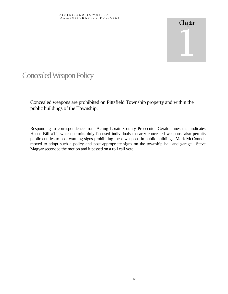## Concealed Weapon Policy

### Concealed weapons are prohibited on Pittsfield Township property and within the public buildings of the Township.

Responding to correspondence from Acting Lorain County Prosecutor Gerald Innes that indicates House Bill #12, which permits duly licensed individuals to carry concealed weapons, also permits public entities to post warning signs prohibiting these weapons in public buildings. Mark McConnell moved to adopt such a policy and post appropriate signs on the township hall and garage. Steve Magyar seconded the motion and it passed on a roll call vote.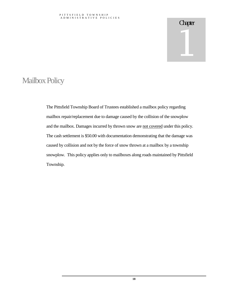## Mailbox Policy

The Pittsfield Township Board of Trustees established a mailbox policy regarding mailbox repair/replacement due to damage caused by the collision of the snowplow and the mailbox. Damages incurred by thrown snow are not covered under this policy. The cash settlement is \$50.00 with documentation demonstrating that the damage was caused by collision and not by the force of snow thrown at a mailbox by a township snowplow. This policy applies only to mailboxes along roads maintained by Pittsfield Township.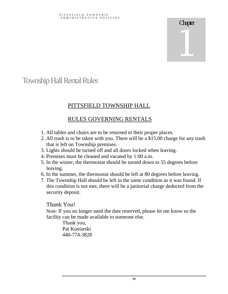**Township Hall Rental Rules** 

## PITTSFIELD TOWNSHIP HALL

### RULES GOVERNING RENTALS

- 1. All tables and chairs are to be returned to their proper places.
- 2. All trash is to be taken with you. There will be a \$15.00 charge for any trash that is left on Township premises.
- 3. Lights should be turned off and all doors locked when leaving.
- 4. Premises must be cleaned and vacated by 1:00 a.m.
- 5. In the winter, the thermostat should be turned down to 55 degrees before leaving.
- 6. In the summer, the thermostat should be left at 80 degrees before leaving.
- 7. The Township Hall should be left in the same condition as it was found. If this condition is not met, there will be a janitorial charge deducted from the security deposit.

Thank You!

Note: If you no longer need the date reserved, please let me know so the facility can be made available to someone else.

> Thank you, Pat Koniarski 440-774-3828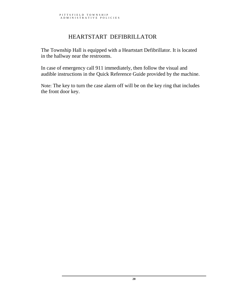### HEARTSTART DEFIBRILLATOR

The Township Hall is equipped with a Heartstart Defibrillator. It is located in the hallway near the restrooms.

In case of emergency call 911 immediately, then follow the visual and audible instructions in the Quick Reference Guide provided by the machine.

Note: The key to turn the case alarm off will be on the key ring that includes the front door key.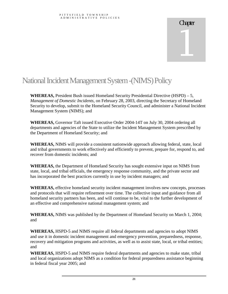## National Incident Management System-(NIMS) Policy

**WHEREAS,** President Bush issued Homeland Security Presidential Directive (HSPD) – 5, *Management of Domestic Incidents,* on February 28, 2003, directing the Secretary of Homeland Security to develop, submit to the Homeland Security Council, and administer a National Incident Management System (NIMS); and

**WHEREAS,** Governor Taft issued Executive Order 2004-14T on July 30, 2004 ordering all departments and agencies of the State to utilize the Incident Management System prescribed by the Department of Homeland Security; and

**WHEREAS,** NIMS will provide a consistent nationwide approach allowing federal, state, local and tribal governments to work effectively and efficiently to prevent, prepare for, respond to, and recover from domestic incidents; and

**WHEREAS,** the Department of Homeland Security has sought extensive input on NIMS from state, local, and tribal officials, the emergency response community, and the private sector and has incorporated the best practices currently in use by incident managers; and

**WHEREAS,** effective homeland security incident management involves new concepts, processes and protocols that will require refinement over time. The collective input and guidance from all homeland security partners has been, and will continue to be, vital to the further development of an effective and comprehensive national management system; and

**WHEREAS,** NIMS was published by the Department of Homeland Security on March 1, 2004; and

**WHEREAS,** HSPD-5 and NIMS require all federal departments and agencies to adopt NIMS and use it in domestic incident management and emergency prevention, preparedness, response, recovery and mitigation programs and activities, as well as to assist state, local, or tribal entities; and

**WHEREAS,** HSPD-5 and NIMS require federal departments and agencies to make state, tribal and local organizations adopt NIMS as a condition for federal preparedness assistance beginning in federal fiscal year 2005; and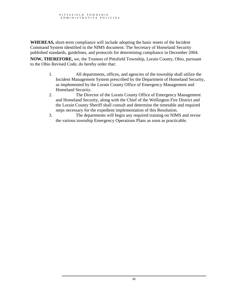**WHEREAS,** short-term compliance will include adopting the basic tenets of the Incident Command System identified in the NIMS document. The Secretary of Homeland Security published standards, guidelines, and protocols for determining compliance in December 2004.

**NOW, THEREFORE,** we, the Trustees of Pittsfield Township, Lorain County, Ohio, pursuant to the Ohio Revised Code, do hereby order that:

- 1. All departments, offices, and agencies of the township shall utilize the Incident Management System prescribed by the Department of Homeland Security, as implemented by the Lorain County Office of Emergency Management and Homeland Security.
- 2. The Director of the Lorain County Office of Emergency Management and Homeland Security, along with the Chief of the Wellington Fire District and the Lorain County Sheriff shall consult and determine the timetable and required steps necessary for the expedient implementation of this Resolution.
- 3. The departments will begin any required training on NIMS and revise the various township Emergency Operations Plans as soon as practicable.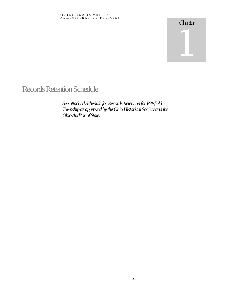## Records Retention Schedule

See attached Schedule for Records Retention for Pittsfield Township as approved by the Ohio Historical Society and the *OhioAuditorofState.*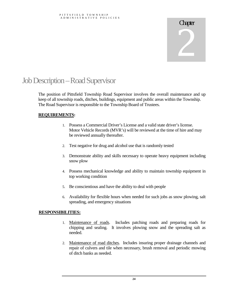## **Chapter**  $\overline{\phantom{a}}$

## Job Description–Road Supervisor

The position of Pittsfield Township Road Supervisor involves the overall maintenance and up keep of all township roads, ditches, buildings, equipment and public areas within the Township. The Road Supervisor is responsible to the Township Board of Trustees.

#### **REQUIREMENTS:**

- 1. Possess a Commercial Driver's License and a valid state driver's license. Motor Vehicle Records (MVR's) will be reviewed at the time of hire and may be reviewed annually thereafter.
- 2. Test negative for drug and alcohol use that is randomly tested
- 3. Demonstrate ability and skills necessary to operate heavy equipment including snow plow
- 4. Possess mechanical knowledge and ability to maintain township equipment in top working condition
- 5. Be conscientious and have the ability to deal with people
- 6. Availability for flexible hours when needed for such jobs as snow plowing, salt spreading, and emergency situations

#### **RESPONSIBILITIES:**

- 1. Maintenance of roads. Includes patching roads and preparing roads for chipping and sealing. It involves plowing snow and the spreading salt as needed.
- 2. Maintenance of road ditches. Includes insuring proper drainage channels and repair of culvers and tile when necessary, brush removal and periodic mowing of ditch banks as needed.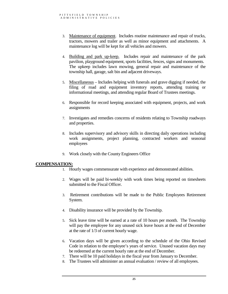- 3. Maintenance of equipment. Includes routine maintenance and repair of trucks, tractors, mowers and trailer as well as minor equipment and attachments. A maintenance log will be kept for all vehicles and mowers.
- 4. Building and park up-keep. Includes repair and maintenance of the park pavilion, playground equipment, sports facilities, fences, signs and monuments. The upkeep includes lawn mowing, general repair and maintenance of the township hall, garage, salt bin and adjacent driveways.
- 5. Miscellaneous Includes helping with funerals and grave digging if needed, the filing of road and equipment inventory reports, attending training or informational meetings, and attending regular Board of Trustees meetings.
- 6. Responsible for record keeping associated with equipment, projects, and work assignments
- 7. Investigates and remedies concerns of residents relating to Township roadways and properties.
- 8. Includes supervisory and advisory skills in directing daily operations including work assignments, project planning, contracted workers and seasonal employees
- 9. Work closely with the County Engineers Office

#### **COMPENSATION:**

- 1. Hourly wages commensurate with experience and demonstrated abilities.
- 2. Wages will be paid bi-weekly with work times being reported on timesheets submitted to the Fiscal Officer.
- 3. Retirement contributions will be made to the Public Employees Retirement System.
- 4. Disability insurance will be provided by the Township.
- 5. Sick leave time will be earned at a rate of 10 hours per month. The Township will pay the employee for any unused sick leave hours at the end of December at the rate of 1/3 of current hourly wage.
- 6. Vacation days will be given according to the schedule of the Ohio Revised Code in relation to the employee's years of service. Unused vacation days may be redeemed at the current hourly rate at the end of December.
- 7. There will be 10 paid holidays in the fiscal year from January to December.
- 8. The Trustees will administer an annual evaluation / review of all employees.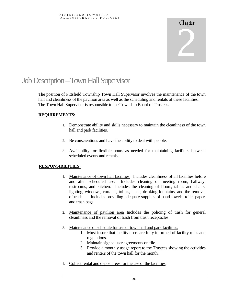$\overline{\phantom{a}}$ 

## Job Description – Town Hall Supervisor

The position of Pittsfield Township Town Hall Supervisor involves the maintenance of the town hall and cleanliness of the pavilion area as well as the scheduling and rentals of these facilities. The Town Hall Supervisor is responsible to the Township Board of Trustees.

#### **REQUIREMENTS:**

- 1. Demonstrate ability and skills necessary to maintain the cleanliness of the town hall and park facilities.
- 2. Be conscientious and have the ability to deal with people.
- 3. Availability for flexible hours as needed for maintaining facilities between scheduled events and rentals.

#### **RESPONSIBILITIES:**

- 1. Maintenance of town hall facilities. Includes cleanliness of all facilities before and after scheduled use. Includes cleaning of meeting room, hallway, restrooms, and kitchen. Includes the cleaning of floors, tables and chairs, lighting, windows, curtains, toilets, sinks, drinking fountains, and the removal of trash. Includes providing adequate supplies of hand towels, toilet paper, and trash bags.
- 2. Maintenance of pavilion area Includes the policing of trash for general cleanliness and the removal of trash from trash receptacles.
- 3. Maintenance of schedule for use of town hall and park facilities.
	- 1. Must insure that facility users are fully informed of facility rules and regulations.
	- 2. Maintain signed user agreements on file.
	- 3. Provide a monthly usage report to the Trustees showing the activities and renters of the town hall for the month.
- 4. Collect rental and deposit fees for the use of the facilities.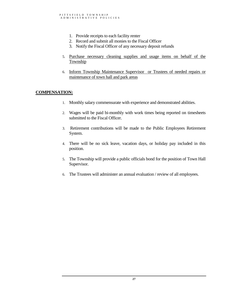- 1. Provide receipts to each facility renter
- 2. Record and submit all monies to the Fiscal Officer
- 3. Notify the Fiscal Officer of any necessary deposit refunds
- 5. Purchase necessary cleaning supplies and usage items on behalf of the Township
- 6. Inform Township Maintenance Supervisor or Trustees of needed repairs or maintenance of town hall and park areas

#### **COMPENSATION:**

- 1. Monthly salary commensurate with experience and demonstrated abilities.
- 2. Wages will be paid bi-monthly with work times being reported on timesheets submitted to the Fiscal Officer.
- 3. Retirement contributions will be made to the Public Employees Retirement System.
- 4. There will be no sick leave, vacation days, or holiday pay included in this position.
- 5. The Township will provide a public officials bond for the position of Town Hall Supervisor.
- 6. The Trustees will administer an annual evaluation / review of all employees.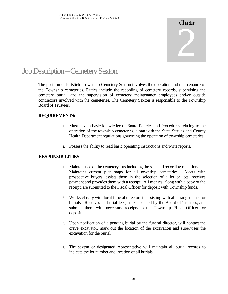## Job Description–Cemetery Sexton

The position of Pittsfield Township Cemetery Sexton involves the operation and maintenance of the Township cemeteries. Duties include the recording of cemetery records, supervising the cemetery burial, and the supervision of cemetery maintenance employees and/or outside contractors involved with the cemeteries. The Cemetery Sexton is responsible to the Township Board of Trustees.

#### **REQUIREMENTS:**

- 1. Must have a basic knowledge of Board Policies and Procedures relating to the operation of the township cemeteries, along with the State Statues and County Health Department regulations governing the operation of township cemeteries
- 2. Possess the ability to read basic operating instructions and write reports.

#### **RESPONSIBILITIES:**

- 1. Maintenance of the cemetery lots including the sale and recording of all lots. Maintains current plot maps for all township cemeteries. Meets with prospective buyers, assists them in the selection of a lot or lots, receives payment and provides them with a receipt. All monies, along with a copy of the receipt, are submitted to the Fiscal Officer for deposit with Township funds.
- 2. Works closely with local funeral directors in assisting with all arrangements for burials. Receives all burial fees, as established by the Board of Trustees, and submits them with necessary receipts to the Township Fiscal Officer for deposit.
- 3. Upon notification of a pending burial by the funeral director, will contact the grave excavator, mark out the location of the excavation and supervises the excavation for the burial.
- 4. The sexton or designated representative will maintain all burial records to indicate the lot number and location of all burials.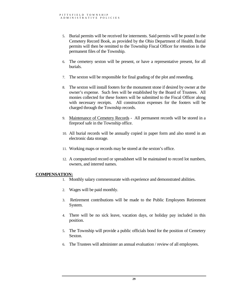- 5. Burial permits will be received for interments. Said permits will be posted in the Cemetery Record Book, as provided by the Ohio Department of Health. Burial permits will then be remitted to the Township Fiscal Officer for retention in the permanent files of the Township.
- 6. The cemetery sexton will be present, or have a representative present, for all burials.
- 7. The sexton will be responsible for final grading of the plot and reseeding.
- 8. The sexton will install footers for the monument stone if desired by owner at the owner's expense. Such fees will be established by the Board of Trustees. All monies collected for these footers will be submitted to the Fiscal Officer along with necessary receipts. All construction expenses for the footers will be charged through the Township records.
- 9. Maintenance of Cemetery Records All permanent records will be stored in a fireproof safe in the Township office.
- 10. All burial records will be annually copied in paper form and also stored in an electronic data storage.
- 11. Working maps or records may be stored at the sexton's office.
- 12. A computerized record or spreadsheet will be maintained to record lot numbers, owners, and interred names.

#### **COMPENSATION:**

- 1. Monthly salary commensurate with experience and demonstrated abilities.
- 2. Wages will be paid monthly.
- 3. Retirement contributions will be made to the Public Employees Retirement System.
- 4. There will be no sick leave, vacation days, or holiday pay included in this position.
- 5. The Township will provide a public officials bond for the position of Cemetery Sexton.
- 6. The Trustees will administer an annual evaluation / review of all employees.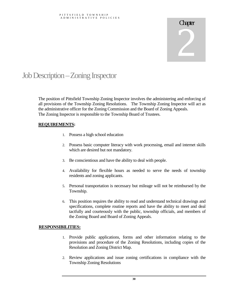## **Chapter**  $\overline{\phantom{a}}$

## Job Description–Zoning Inspector

The position of Pittsfield Township Zoning Inspector involves the administering and enforcing of all provisions of the Township Zoning Resolutions. The Township Zoning Inspector will act as the administrative officer for the Zoning Commission and the Board of Zoning Appeals. The Zoning Inspector is responsible to the Township Board of Trustees.

### **REQUIREMENTS:**

- 1. Possess a high school education
- 2. Possess basic computer literacy with work processing, email and internet skills which are desired but not mandatory.
- 3. Be conscientious and have the ability to deal with people.
- 4. Availability for flexible hours as needed to serve the needs of township residents and zoning applicants.
- 5. Personal transportation is necessary but mileage will not be reimbursed by the Township.
- 6. This position requires the ability to read and understand technical drawings and specifications, complete routine reports and have the ability to meet and deal tactfully and courteously with the public, township officials, and members of the Zoning Board and Board of Zoning Appeals.

#### **RESPONSIBILITIES:**

- 1. Provide public applications, forms and other information relating to the provisions and procedure of the Zoning Resolutions, including copies of the Resolution and Zoning District Map.
- 2. Review applications and issue zoning certifications in compliance with the Township Zoning Resolutions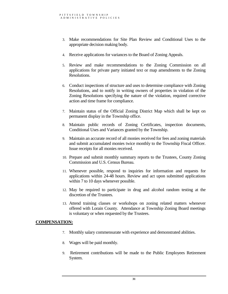- 3. Make recommendations for Site Plan Review and Conditional Uses to the appropriate decision making body.
- 4. Receive applications for variances to the Board of Zoning Appeals.
- 5. Review and make recommendations to the Zoning Commission on all applications for private party initiated text or map amendments to the Zoning Resolutions.
- 6. Conduct inspections of structure and uses to determine compliance with Zoning Resolutions, and to notify in writing owners of properties in violation of the Zoning Resolutions specifying the nature of the violation, required corrective action and time frame for compliance.
- 7. Maintain status of the Official Zoning District Map which shall be kept on permanent display in the Township office.
- 8. Maintain public records of Zoning Certificates, inspection documents, Conditional Uses and Variances granted by the Township.
- 9. Maintain an accurate record of all monies received for fees and zoning materials and submit accumulated monies twice monthly to the Township Fiscal Officer. Issue receipts for all monies received.
- 10. Prepare and submit monthly summary reports to the Trustees, County Zoning Commission and U.S. Census Bureau.
- 11. Whenever possible, respond to inquiries for information and requests for applications within 24-48 hours. Review and act upon submitted applications within 7 to 10 days whenever possible.
- 12. May be required to participate in drug and alcohol random testing at the discretion of the Trustees.
- 13. Attend training classes or workshops on zoning related matters whenever offered with Lorain County. Attendance at Township Zoning Board meetings is voluntary or when requested by the Trustees.

### **COMPENSATION:**

- 7. Monthly salary commensurate with experience and demonstrated abilities.
- 8. Wages will be paid monthly.
- 9. Retirement contributions will be made to the Public Employees Retirement System.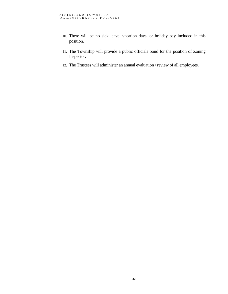- 10. There will be no sick leave, vacation days, or holiday pay included in this position.
- 11. The Township will provide a public officials bond for the position of Zoning Inspector.
- 12. The Trustees will administer an annual evaluation / review of all employees.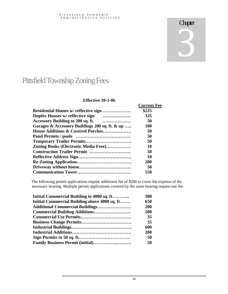## 3

## Pittsfield Township Zoning Fees

#### **Effective 10-1-06**

|                                                | <b>Current Fee</b> |
|------------------------------------------------|--------------------|
|                                                | \$225              |
| Duplex Houses w/ reflective sign<br>           | 325                |
| Accessory Building to 200 sq. ft.<br>.         | 50                 |
| Garages & Accessory Buildings 200 sq. ft. & up | <b>100</b>         |
| House Additions & Covered Porches              | 50                 |
|                                                | 50                 |
|                                                | 50                 |
| <b>Zoning Books (Electronic Media Free)</b>    | 10                 |
| <b>Construction Trailer Permit </b>            | 50                 |
|                                                | 10                 |
|                                                | <b>200</b>         |
|                                                | 50                 |
|                                                | 550                |
|                                                |                    |

The following permit applications require additional fee of \$200 to cover the expense of the necessary hearing. Multiple permit applications covered by the same hearing require one fee.

| Initial Commercial Building to 4000 sq. ft    | 300        |
|-----------------------------------------------|------------|
| Initial Commercial Building above 4000 sq. ft | 650        |
|                                               | <b>200</b> |
| <b>Commercial Building Additions</b>          | <b>200</b> |
|                                               | 35         |
|                                               | 35         |
|                                               | 600        |
|                                               | <b>200</b> |
|                                               | 50         |
|                                               | 50         |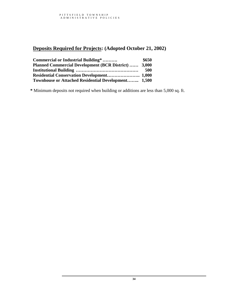### **Deposits Required for Projects: (Adopted October 21, 2002)**

| Commercial or Industrial Building*                   | \$650 |
|------------------------------------------------------|-------|
| Planned Commercial Development (BCR District)  3,000 |       |
|                                                      | 500   |
|                                                      |       |
| Townhouse or Attached Residential Development 1,500  |       |

**\*** Minimum deposits not required when building or additions are less than 5,000 sq. ft.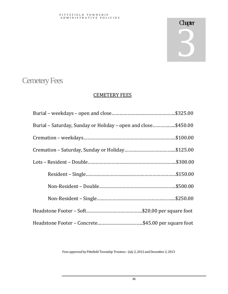## **Cemetery Fees**

### CEMETERY FEES

| Burial – Saturday, Sunday or Holiday – open and close\$450.00 |  |
|---------------------------------------------------------------|--|
|                                                               |  |
|                                                               |  |
|                                                               |  |
|                                                               |  |
|                                                               |  |
|                                                               |  |
|                                                               |  |
|                                                               |  |

Fees approved by Pittsfield Township Trustees – July 2, 2012 and December 2, 2013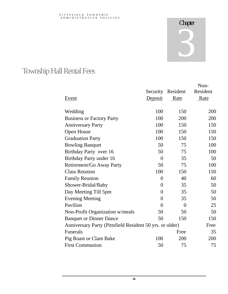3

## Township Hall Rental Fees

|                                                          |                |                | Non-        |
|----------------------------------------------------------|----------------|----------------|-------------|
|                                                          | Security       | Resident       | Resident    |
| Event                                                    | Deposit        | Rate           | <u>Rate</u> |
|                                                          |                |                |             |
| Wedding                                                  | 100            | 150            | 200         |
| <b>Business or Factory Party</b>                         | 100            | 200            | 200         |
| <b>Anniversary Party</b>                                 | 100            | 150            | 150         |
| <b>Open House</b>                                        | 100            | 150            | 150         |
| <b>Graduation Party</b>                                  | 100            | 150            | 150         |
| <b>Bowling Banquet</b>                                   | 50             | 75             | 100         |
| Birthday Party over 16                                   | 50             | 75             | 100         |
| Birthday Party under 16                                  | $\theta$       | 35             | 50          |
| Retirement/Go Away Party                                 | 50             | 75             | 100         |
| <b>Class Reunion</b>                                     | 100            | 150            | 150         |
| <b>Family Reunion</b>                                    | $\overline{0}$ | 40             | 60          |
| Shower-Bridal/Baby                                       | $\overline{0}$ | 35             | 50          |
| Day Meeting Till 5pm                                     | $\theta$       | 35             | 50          |
| <b>Evening Meeting</b>                                   | $\overline{0}$ | 35             | 50          |
| Pavilion                                                 | $\theta$       | $\overline{0}$ | 25          |
| Non-Profit Organization w/meals                          | 50             | 50             | 50          |
| <b>Banquet or Dinner Dance</b>                           | 50             | 150            | 150         |
| Anniversary Party (Pittsfield Resident 50 yrs. or older) |                | Free           |             |
| Funerals                                                 |                | Free           | 35          |
| Pig Roast or Clam Bake                                   | 100            | 200            | 200         |
| <b>First Communion</b>                                   | 50             | 75             | 75          |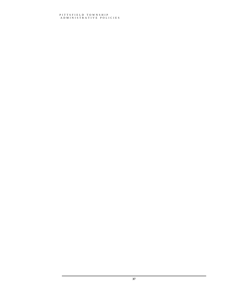#### P I T T S F I E L D T O W N S H I P A D M I N I S T R A T I V E P O L I C I E S